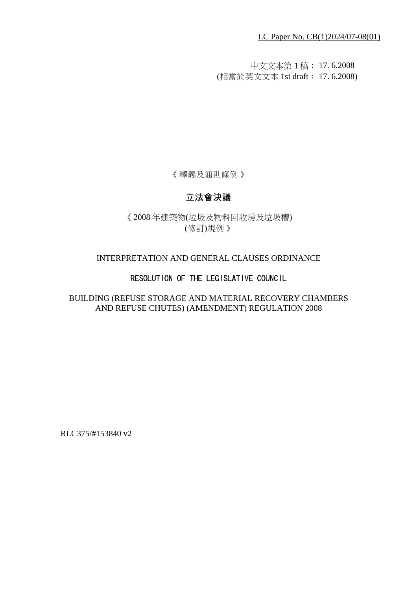LC Paper No. CB(1)2024/07-08(01)

中文文本第 1 稿: 17. 6.2008 (相當於英文文本 1st draft: 17. 6.2008)

《釋義及通則條例》

# 立法會決議

《2008 年建築物(垃圾及物料回收房及垃圾槽) (修訂)規例》

### INTERPRETATION AND GENERAL CLAUSES ORDINANCE

### RESOLUTION OF THE LEGISLATIVE COUNCIL

BUILDING (REFUSE STORAGE AND MATERIAL RECOVERY CHAMBERS AND REFUSE CHUTES) (AMENDMENT) REGULATION 2008

RLC375/#153840 v2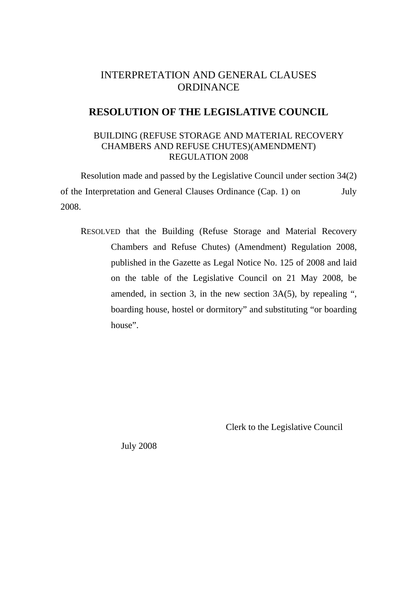# INTERPRETATION AND GENERAL CLAUSES **ORDINANCE**

## **RESOLUTION OF THE LEGISLATIVE COUNCIL**

#### BUILDING (REFUSE STORAGE AND MATERIAL RECOVERY CHAMBERS AND REFUSE CHUTES)(AMENDMENT) REGULATION 2008

Resolution made and passed by the Legislative Council under section 34(2) of the Interpretation and General Clauses Ordinance (Cap. 1) on July 2008.

RESOLVED that the Building (Refuse Storage and Material Recovery Chambers and Refuse Chutes) (Amendment) Regulation 2008, published in the Gazette as Legal Notice No. 125 of 2008 and laid on the table of the Legislative Council on 21 May 2008, be amended, in section 3, in the new section 3A(5), by repealing ", boarding house, hostel or dormitory" and substituting "or boarding house".

Clerk to the Legislative Council

July 2008